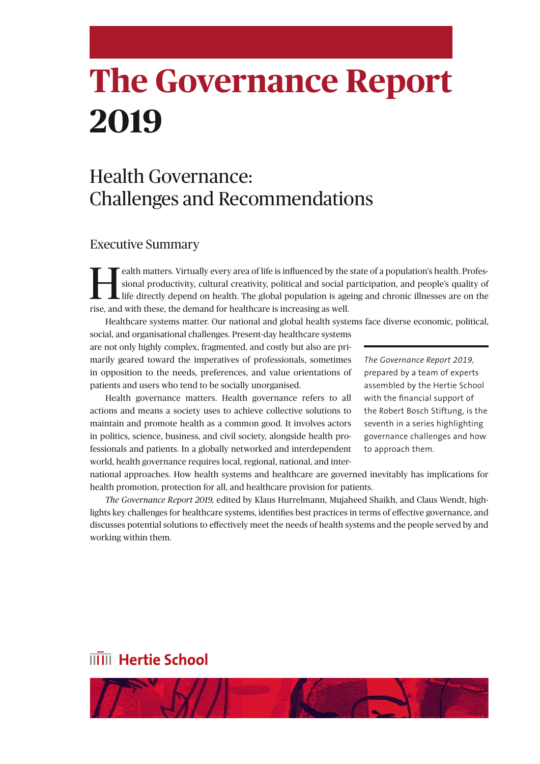# **The Governance Report 2019**

## Health Governance: Challenges and Recommendations

#### Executive Summary

**Health matters. Virtually every area of life is influenced by the state of a population's health. Profes-**<br>sional productivity, cultural creativity, political and social participation, and people's quality of<br>life directl sional productivity, cultural creativity, political and social participation, and people's quality of rise, and with these, the demand for healthcare is increasing as well.

Healthcare systems matter. Our national and global health systems face diverse economic, political,

social, and organisational challenges. Present-day healthcare systems are not only highly complex, fragmented, and costly but also are primarily geared toward the imperatives of professionals, sometimes in opposition to the needs, preferences, and value orientations of patients and users who tend to be socially unorganised.

Health governance matters. Health governance refers to all actions and means a society uses to achieve collective solutions to maintain and promote health as a common good. It involves actors in politics, science, business, and civil society, alongside health professionals and patients. In a globally networked and interdependent world, health governance requires local, regional, national, and inter*The Governance Report 2019,*  prepared by a team of experts assembled by the Hertie School with the financial support of the Robert Bosch Stiftung, is the seventh in a series highlighting governance challenges and how to approach them.

national approaches. How health systems and healthcare are governed inevitably has implications for health promotion, protection for all, and healthcare provision for patients.

*The Governance Report 2019,* edited by Klaus Hurrelmann, Mujaheed Shaikh, and Claus Wendt, highlights key challenges for healthcare systems, identifies best practices in terms of effective governance, and discusses potential solutions to effectively meet the needs of health systems and the people served by and working within them.

## **IIIII** Hertie School

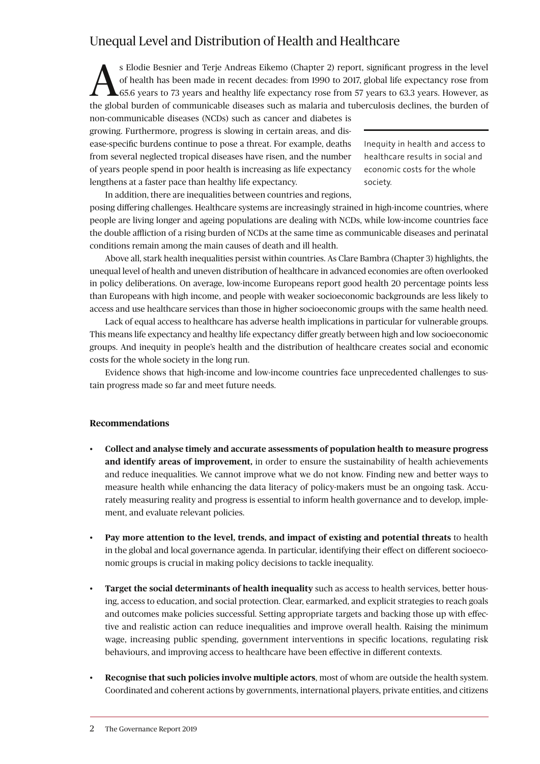## Unequal Level and Distribution of Health and Healthcare

S Elodie Besnier and Terje Andreas Eikemo (Chapter 2) report, significant progress in the level<br>of health has been made in recent decades: from 1990 to 2017, global life expectancy rose from<br>65.6 years to 73 years and heal of health has been made in recent decades: from 1990 to 2017, global life expectancy rose from **1.**65.6 years to 73 years and healthy life expectancy rose from 57 years to 63.3 years. However, as the global burden of communicable diseases such as malaria and tuberculosis declines, the burden of

non-communicable diseases (NCDs) such as cancer and diabetes is growing. Furthermore, progress is slowing in certain areas, and disease-specific burdens continue to pose a threat. For example, deaths from several neglected tropical diseases have risen, and the number of years people spend in poor health is increasing as life expectancy lengthens at a faster pace than healthy life expectancy.

Inequity in health and access to healthcare results in social and economic costs for the whole society.

In addition, there are inequalities between countries and regions,

posing differing challenges. Healthcare systems are increasingly strained in high-income countries, where people are living longer and ageing populations are dealing with NCDs, while low-income countries face the double affliction of a rising burden of NCDs at the same time as communicable diseases and perinatal conditions remain among the main causes of death and ill health.

Above all, stark health inequalities persist within countries. As Clare Bambra (Chapter 3) highlights, the unequal level of health and uneven distribution of healthcare in advanced economies are often overlooked in policy deliberations. On average, low-income Europeans report good health 20 percentage points less than Europeans with high income, and people with weaker socioeconomic backgrounds are less likely to access and use healthcare services than those in higher socioeconomic groups with the same health need.

Lack of equal access to healthcare has adverse health implications in particular for vulnerable groups. This means life expectancy and healthy life expectancy differ greatly between high and low socioeconomic groups. And inequity in people's health and the distribution of healthcare creates social and economic costs for the whole society in the long run.

Evidence shows that high-income and low-income countries face unprecedented challenges to sustain progress made so far and meet future needs.

#### **Recommendations**

- **Collect and analyse timely and accurate assessments of population health to measure progress and identify areas of improvement,** in order to ensure the sustainability of health achievements and reduce inequalities. We cannot improve what we do not know. Finding new and better ways to measure health while enhancing the data literacy of policy-makers must be an ongoing task. Accurately measuring reality and progress is essential to inform health governance and to develop, implement, and evaluate relevant policies.
- **Pay more attention to the level, trends, and impact of existing and potential threats** to health in the global and local governance agenda. In particular, identifying their effect on different socioeconomic groups is crucial in making policy decisions to tackle inequality.
- **Target the social determinants of health inequality** such as access to health services, better housing, access to education, and social protection. Clear, earmarked, and explicit strategies to reach goals and outcomes make policies successful. Setting appropriate targets and backing those up with effective and realistic action can reduce inequalities and improve overall health. Raising the minimum wage, increasing public spending, government interventions in specific locations, regulating risk behaviours, and improving access to healthcare have been effective in different contexts.
- **Recognise that such policies involve multiple actors**, most of whom are outside the health system. Coordinated and coherent actions by governments, international players, private entities, and citizens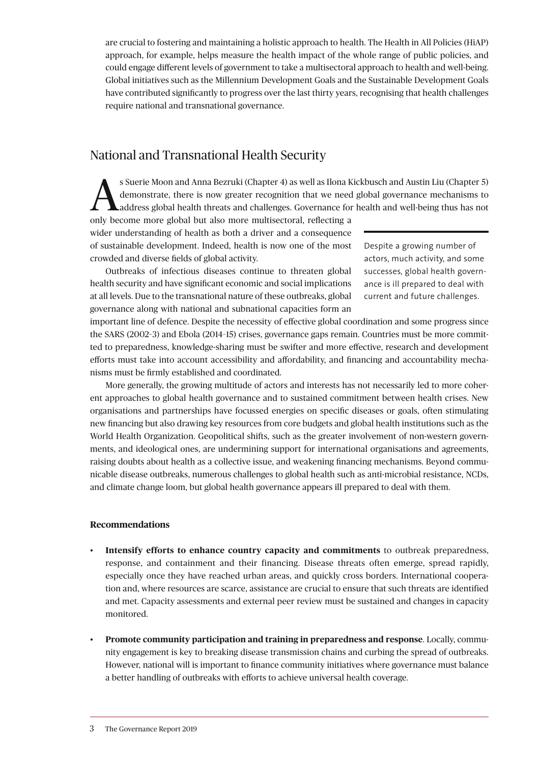are crucial to fostering and maintaining a holistic approach to health. The Health in All Policies (HiAP) approach, for example, helps measure the health impact of the whole range of public policies, and could engage different levels of government to take a multisectoral approach to health and well-being. Global initiatives such as the Millennium Development Goals and the Sustainable Development Goals have contributed significantly to progress over the last thirty years, recognising that health challenges require national and transnational governance.

## National and Transnational Health Security

Suerie Moon and Anna Bezruki (Chapter 4) as well as Ilona Kickbusch and Austin Liu (Chapter 5)<br>demonstrate, there is now greater recognition that we need global governance mechanisms to<br>address global health threats and ch demonstrate, there is now greater recognition that we need global governance mechanisms to

only become more global but also more multisectoral, reflecting a wider understanding of health as both a driver and a consequence of sustainable development. Indeed, health is now one of the most crowded and diverse fields of global activity.

Outbreaks of infectious diseases continue to threaten global health security and have significant economic and social implications at all levels. Due to the transnational nature of these outbreaks, global governance along with national and subnational capacities form an

Despite a growing number of actors, much activity, and some successes, global health governance is ill prepared to deal with current and future challenges.

important line of defence. Despite the necessity of effective global coordination and some progress since the SARS (2002–3) and Ebola (2014–15) crises, governance gaps remain. Countries must be more committed to preparedness, knowledge-sharing must be swifter and more effective, research and development efforts must take into account accessibility and affordability, and financing and accountability mechanisms must be firmly established and coordinated.

More generally, the growing multitude of actors and interests has not necessarily led to more coherent approaches to global health governance and to sustained commitment between health crises. New organisations and partnerships have focussed energies on specific diseases or goals, often stimulating new financing but also drawing key resources from core budgets and global health institutions such as the World Health Organization. Geopolitical shifts, such as the greater involvement of non-western governments, and ideological ones, are undermining support for international organisations and agreements, raising doubts about health as a collective issue, and weakening financing mechanisms. Beyond communicable disease outbreaks, numerous challenges to global health such as anti-microbial resistance, NCDs, and climate change loom, but global health governance appears ill prepared to deal with them.

#### **Recommendations**

- **Intensify efforts to enhance country capacity and commitments** to outbreak preparedness, response, and containment and their financing. Disease threats often emerge, spread rapidly, especially once they have reached urban areas, and quickly cross borders. International cooperation and, where resources are scarce, assistance are crucial to ensure that such threats are identified and met. Capacity assessments and external peer review must be sustained and changes in capacity monitored.
- **Promote community participation and training in preparedness and response**. Locally, community engagement is key to breaking disease transmission chains and curbing the spread of outbreaks. However, national will is important to finance community initiatives where governance must balance a better handling of outbreaks with efforts to achieve universal health coverage.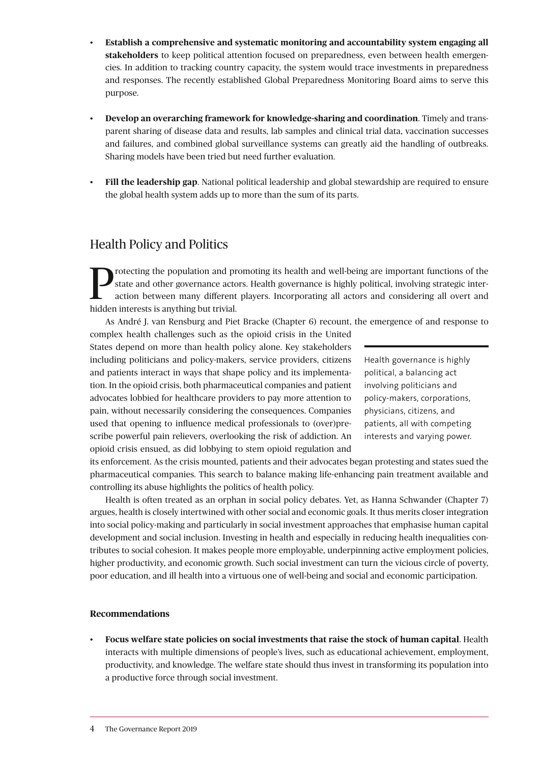- **Establish a comprehensive and systematic monitoring and accountability system engaging all stakeholders** to keep political attention focused on preparedness, even between health emergencies. In addition to tracking country capacity, the system would trace investments in preparedness and responses. The recently established Global Preparedness Monitoring Board aims to serve this purpose.
- **Develop an overarching framework for knowledge-sharing and coordination**. Timely and transparent sharing of disease data and results, lab samples and clinical trial data, vaccination successes and failures, and combined global surveillance systems can greatly aid the handling of outbreaks. Sharing models have been tried but need further evaluation.
- **Fill the leadership gap**. National political leadership and global stewardship are required to ensure the global health system adds up to more than the sum of its parts.

## Health Policy and Politics

To rotecting the population and promoting its health and well-being are important functions of the state and other governance actors. Health governance is highly political, involving strategic interaction between many diff state and other governance actors. Health governance is highly political, involving strategic interaction between many different players. Incorporating all actors and considering all overt and hidden interests is anything but trivial.

As André J. van Rensburg and Piet Bracke (Chapter 6) recount, the emergence of and response to

complex health challenges such as the opioid crisis in the United States depend on more than health policy alone. Key stakeholders including politicians and policy-makers, service providers, citizens and patients interact in ways that shape policy and its implementation. In the opioid crisis, both pharmaceutical companies and patient advocates lobbied for healthcare providers to pay more attention to pain, without necessarily considering the consequences. Companies used that opening to influence medical professionals to (over)prescribe powerful pain relievers, overlooking the risk of addiction. An opioid crisis ensued, as did lobbying to stem opioid regulation and

Health governance is highly political, a balancing act involving politicians and policy-makers, corporations, physicians, citizens, and patients, all with competing interests and varying power.

its enforcement. As the crisis mounted, patients and their advocates began protesting and states sued the pharmaceutical companies. This search to balance making life-enhancing pain treatment available and controlling its abuse highlights the politics of health policy.

Health is often treated as an orphan in social policy debates. Yet, as Hanna Schwander (Chapter 7) argues, health is closely intertwined with other social and economic goals. It thus merits closer integration into social policy-making and particularly in social investment approaches that emphasise human capital development and social inclusion. Investing in health and especially in reducing health inequalities contributes to social cohesion. It makes people more employable, underpinning active employment policies, higher productivity, and economic growth. Such social investment can turn the vicious circle of poverty, poor education, and ill health into a virtuous one of well-being and social and economic participation.

#### **Recommendations**

• **Focus welfare state policies on social investments that raise the stock of human capital**. Health interacts with multiple dimensions of people's lives, such as educational achievement, employment, productivity, and knowledge. The welfare state should thus invest in transforming its population into a productive force through social investment.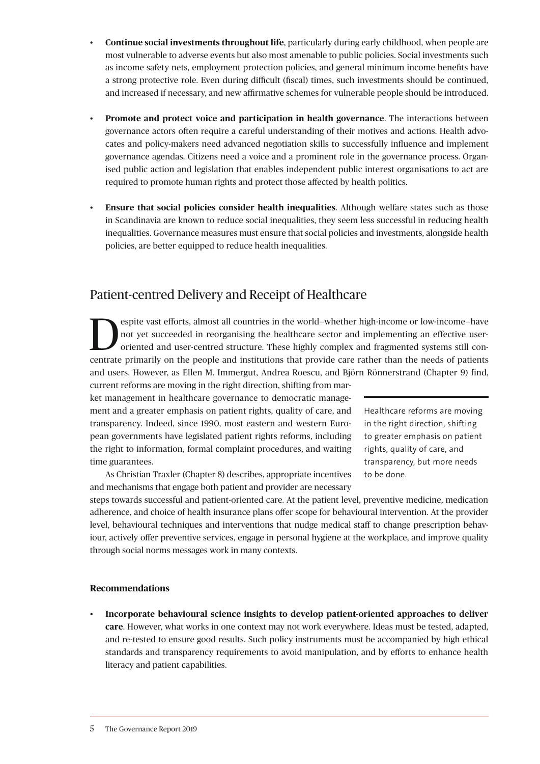- **Continue social investments throughout life**, particularly during early childhood, when people are most vulnerable to adverse events but also most amenable to public policies. Social investments such as income safety nets, employment protection policies, and general minimum income benefits have a strong protective role. Even during difficult (fiscal) times, such investments should be continued, and increased if necessary, and new affirmative schemes for vulnerable people should be introduced.
- **Promote and protect voice and participation in health governance**. The interactions between governance actors often require a careful understanding of their motives and actions. Health advocates and policy-makers need advanced negotiation skills to successfully influence and implement governance agendas. Citizens need a voice and a prominent role in the governance process. Organised public action and legislation that enables independent public interest organisations to act are required to promote human rights and protect those affected by health politics.
- **Ensure that social policies consider health inequalities**. Although welfare states such as those in Scandinavia are known to reduce social inequalities, they seem less successful in reducing health inequalities. Governance measures must ensure that social policies and investments, alongside health policies, are better equipped to reduce health inequalities.

## Patient-centred Delivery and Receipt of Healthcare

**OREC SERVING AND AND SERVING AND SERVING AND SERVING AND SERVING AND SERVING AND SERVING AND SERVING AND SERVING AND SERVING AND SERVING AND SERVING AND SERVING AND SERVING AND SERVING AND SERVING AND SERVING AND SERVING** not yet succeeded in reorganising the healthcare sector and implementing an effective usercentrate primarily on the people and institutions that provide care rather than the needs of patients and users. However, as Ellen M. Immergut, Andrea Roescu, and Björn Rönnerstrand (Chapter 9) find, current reforms are moving in the right direction, shifting from mar-

ket management in healthcare governance to democratic management and a greater emphasis on patient rights, quality of care, and transparency. Indeed, since 1990, most eastern and western European governments have legislated patient rights reforms, including the right to information, formal complaint procedures, and waiting time guarantees.

Healthcare reforms are moving in the right direction, shifting to greater emphasis on patient rights, quality of care, and transparency, but more needs to be done.

As Christian Traxler (Chapter 8) describes, appropriate incentives and mechanisms that engage both patient and provider are necessary

steps towards successful and patient-oriented care. At the patient level, preventive medicine, medication adherence, and choice of health insurance plans offer scope for behavioural intervention. At the provider level, behavioural techniques and interventions that nudge medical staff to change prescription behaviour, actively offer preventive services, engage in personal hygiene at the workplace, and improve quality through social norms messages work in many contexts.

#### **Recommendations**

• **Incorporate behavioural science insights to develop patient-oriented approaches to deliver care**. However, what works in one context may not work everywhere. Ideas must be tested, adapted, and re-tested to ensure good results. Such policy instruments must be accompanied by high ethical standards and transparency requirements to avoid manipulation, and by efforts to enhance health literacy and patient capabilities.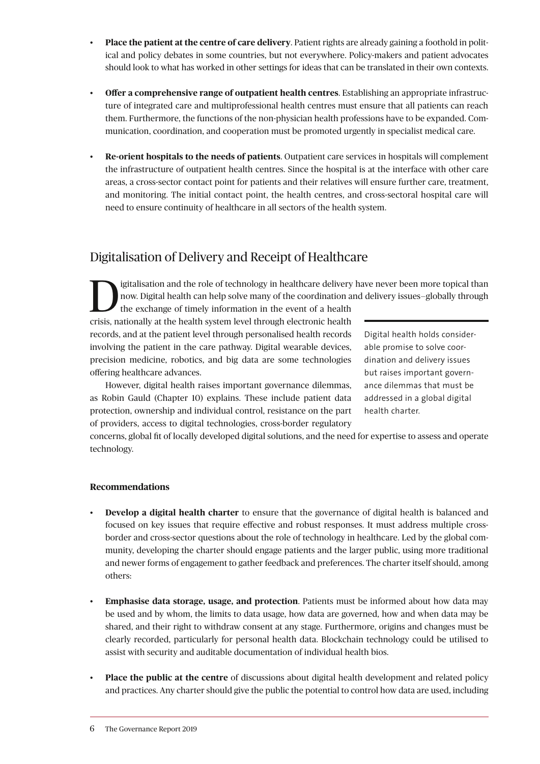- **Place the patient at the centre of care delivery**. Patient rights are already gaining a foothold in political and policy debates in some countries, but not everywhere. Policy-makers and patient advocates should look to what has worked in other settings for ideas that can be translated in their own contexts.
- **Offer a comprehensive range of outpatient health centres**. Establishing an appropriate infrastructure of integrated care and multiprofessional health centres must ensure that all patients can reach them. Furthermore, the functions of the non-physician health professions have to be expanded. Communication, coordination, and cooperation must be promoted urgently in specialist medical care.
- **Re-orient hospitals to the needs of patients**. Outpatient care services in hospitals will complement the infrastructure of outpatient health centres. Since the hospital is at the interface with other care areas, a cross-sector contact point for patients and their relatives will ensure further care, treatment, and monitoring. The initial contact point, the health centres, and cross-sectoral hospital care will need to ensure continuity of healthcare in all sectors of the health system.

## Digitalisation of Delivery and Receipt of Healthcare

I igitalisation and the role of technology in healthcare delivery have never been more topical than<br>now. Digital health can help solve many of the coordination and delivery issues–globally through<br>the exchange of timely in now. Digital health can help solve many of the coordination and delivery issues—globally through

the exchange of timely information in the event of a health crisis, nationally at the health system level through electronic health records, and at the patient level through personalised health records involving the patient in the care pathway. Digital wearable devices, precision medicine, robotics, and big data are some technologies offering healthcare advances.

However, digital health raises important governance dilemmas, as Robin Gauld (Chapter 10) explains. These include patient data protection, ownership and individual control, resistance on the part of providers, access to digital technologies, cross-border regulatory Digital health holds considerable promise to solve coordination and delivery issues but raises important governance dilemmas that must be addressed in a global digital health charter.

concerns, global fit of locally developed digital solutions, and the need for expertise to assess and operate technology.

#### **Recommendations**

- **Develop a digital health charter** to ensure that the governance of digital health is balanced and focused on key issues that require effective and robust responses. It must address multiple crossborder and cross-sector questions about the role of technology in healthcare. Led by the global community, developing the charter should engage patients and the larger public, using more traditional and newer forms of engagement to gather feedback and preferences. The charter itself should, among others:
- **Emphasise data storage, usage, and protection**. Patients must be informed about how data may be used and by whom, the limits to data usage, how data are governed, how and when data may be shared, and their right to withdraw consent at any stage. Furthermore, origins and changes must be clearly recorded, particularly for personal health data. Blockchain technology could be utilised to assist with security and auditable documentation of individual health bios.
- **Place the public at the centre** of discussions about digital health development and related policy and practices. Any charter should give the public the potential to control how data are used, including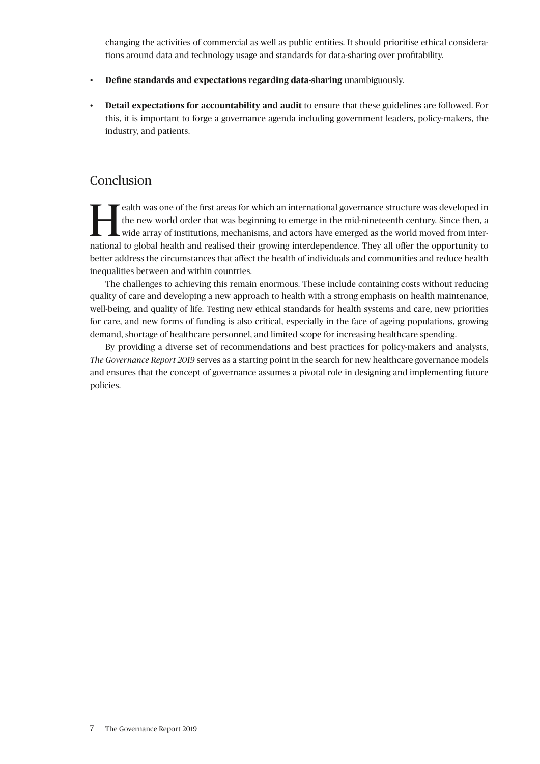changing the activities of commercial as well as public entities. It should prioritise ethical considerations around data and technology usage and standards for data-sharing over profitability.

- **Define standards and expectations regarding data-sharing** unambiguously.
- **Detail expectations for accountability and audit** to ensure that these guidelines are followed. For this, it is important to forge a governance agenda including government leaders, policy-makers, the industry, and patients.

### Conclusion

**Health was one of the first areas for which an international governance structure was developed in the new world order that was beginning to emerge in the mid-nineteenth century. Since then, a wide array of institutions,** the new world order that was beginning to emerge in the mid-nineteenth century. Since then, a national to global health and realised their growing interdependence. They all offer the opportunity to better address the circumstances that affect the health of individuals and communities and reduce health inequalities between and within countries.

The challenges to achieving this remain enormous. These include containing costs without reducing quality of care and developing a new approach to health with a strong emphasis on health maintenance, well-being, and quality of life. Testing new ethical standards for health systems and care, new priorities for care, and new forms of funding is also critical, especially in the face of ageing populations, growing demand, shortage of healthcare personnel, and limited scope for increasing healthcare spending.

By providing a diverse set of recommendations and best practices for policy-makers and analysts, *The Governance Report 2019* serves as a starting point in the search for new healthcare governance models and ensures that the concept of governance assumes a pivotal role in designing and implementing future policies.